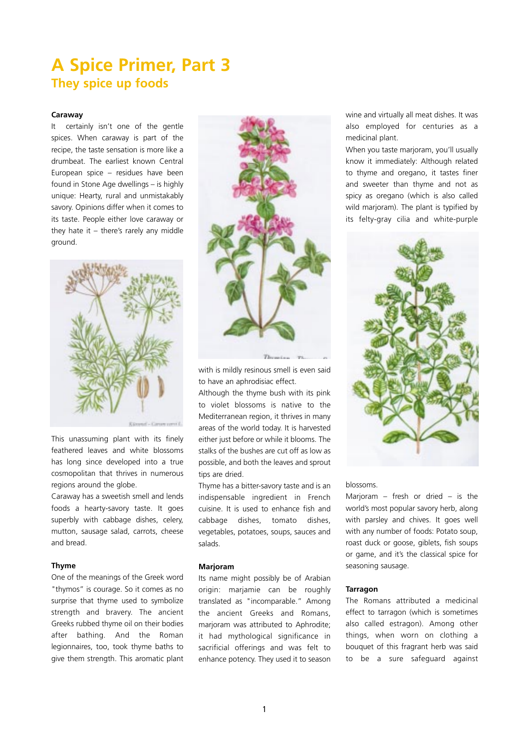# **A Spice Primer, Part 3 They spice up foods**

### **Caraway**

It certainly isn't one of the gentle spices. When caraway is part of the recipe, the taste sensation is more like a drumbeat. The earliest known Central European spice – residues have been found in Stone Age dwellings – is highly unique: Hearty, rural and unmistakably savory. Opinions differ when it comes to its taste. People either love caraway or they hate it  $-$  there's rarely any middle ground.



This unassuming plant with its finely feathered leaves and white blossoms has long since developed into a true cosmopolitan that thrives in numerous regions around the globe.

Caraway has a sweetish smell and lends foods a hearty-savory taste. It goes superbly with cabbage dishes, celery, mutton, sausage salad, carrots, cheese and bread.

#### **Thyme**

One of the meanings of the Greek word "thymos" is courage. So it comes as no surprise that thyme used to symbolize strength and bravery. The ancient Greeks rubbed thyme oil on their bodies after bathing. And the Roman legionnaires, too, took thyme baths to give them strength. This aromatic plant



Ÿx.

with is mildly resinous smell is even said to have an aphrodisiac effect.

Although the thyme bush with its pink to violet blossoms is native to the Mediterranean region, it thrives in many areas of the world today. It is harvested either just before or while it blooms. The stalks of the bushes are cut off as low as possible, and both the leaves and sprout tips are dried.

Thyme has a bitter-savory taste and is an indispensable ingredient in French cuisine. It is used to enhance fish and cabbage dishes, tomato dishes, vegetables, potatoes, soups, sauces and salads.

#### **Marjoram**

Its name might possibly be of Arabian origin: marjamie can be roughly translated as "incomparable." Among the ancient Greeks and Romans, marioram was attributed to Aphrodite: it had mythological significance in sacrificial offerings and was felt to enhance potency. They used it to season wine and virtually all meat dishes. It was also employed for centuries as a medicinal plant.

When you taste marjoram, you'll usually know it immediately: Although related to thyme and oregano, it tastes finer and sweeter than thyme and not as spicy as oregano (which is also called wild marjoram). The plant is typified by its felty-gray cilia and white-purple



## blossoms.

Marjoram – fresh or dried – is the world's most popular savory herb, along with parsley and chives. It goes well with any number of foods: Potato soup, roast duck or goose, giblets, fish soups or game, and it's the classical spice for seasoning sausage.

#### **Tarragon**

The Romans attributed a medicinal effect to tarragon (which is sometimes also called estragon). Among other things, when worn on clothing a bouquet of this fragrant herb was said to be a sure safeguard against